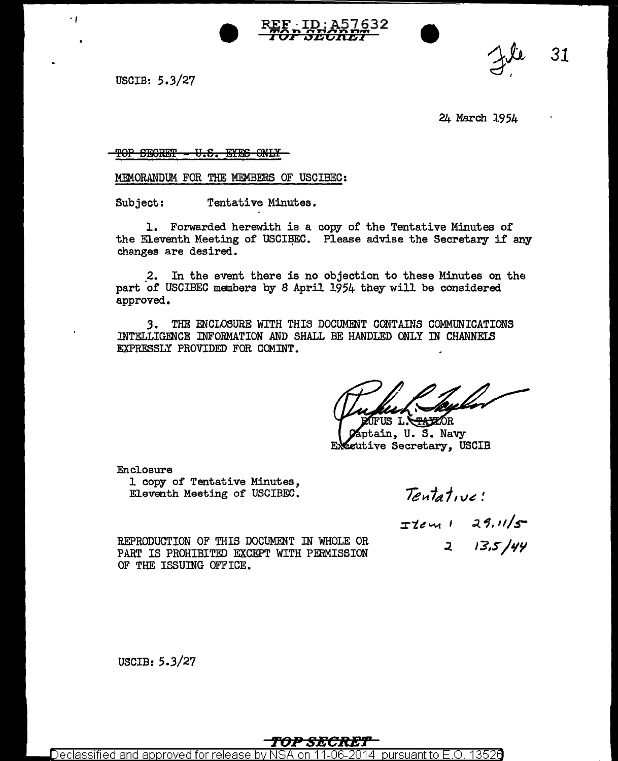



31

USCIB: 5.3/27

٠,

24 March 1954

TOP SECRET - U.S. EYES ONLY

MEMORANDUM FOR THE MEMBERS OF USCIBEC:

Tentative Minutes. Subject:

1. Forwarded herewith is a copy of the Tentative Minutes of the Eleventh Meeting of USCIBEC. Please advise the Secretary if any changes are desired.

2. In the event there is no objection to these Minutes on the part of USCIBEC members by 8 April 1954 they will be considered approved.

3. THE ENCLOSURE WITH THIS DOCUMENT CONTAINS COMMUNICATIONS INTELLIGENCE INFORMATION AND SHALL BE HANDLED ONLY IN CHANNELS EXPRESSLY PROVIDED FOR COMINT.

US L. STATZOR

ptain, U.S. Navy ecutive Secretary, USCIB

Enclosure

1 copy of Tentative Minutes, Eleventh Meeting of USCIBEC.

Tentative:

 $I$ tem 1 29.11/5

 $2$  13,5/44

REPRODUCTION OF THIS DOCUMENT IN WHOLE OR PART IS PROHIBITED EXCEPT WITH PERMISSION OF THE ISSUING OFFICE.

USCIB:  $5.3/27$ 

Declassified and approved for release pursuant to F  $\overline{\mathrm{O}}$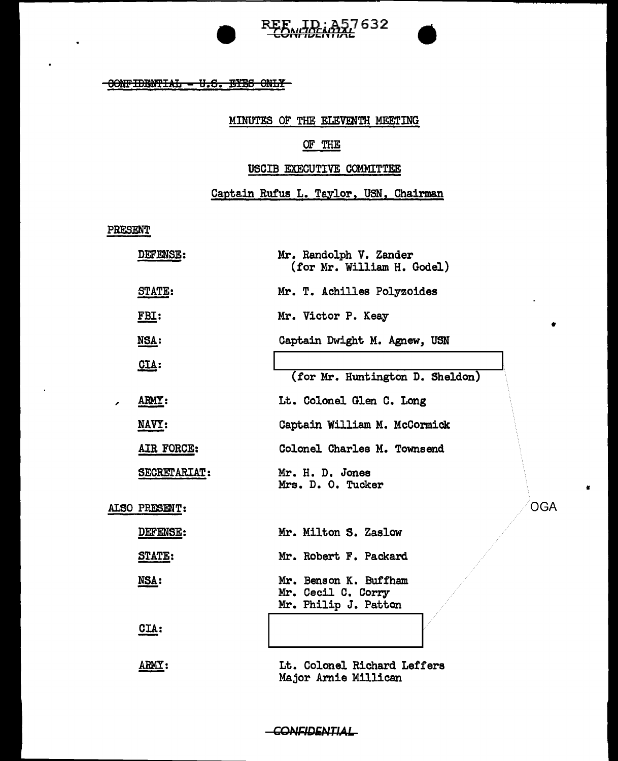

# REE ID: A57632



#### MINUTES OF THE ELEVENTH MEETING

# OF THE

### USCIB EXECUTIVE COMMITTEE

## Captain Rufus L. Taylor, USN, Chairman

٠

OGA

×

PRESENT

 $\ddot{\phantom{0}}$ 

| DEFENSE:      | Mr. Randolph V. Zander<br>(for Mr. William H. Godel)                |
|---------------|---------------------------------------------------------------------|
| STATE:        | Mr. T. Achilles Polyzoides                                          |
| FBI:          | Mr. Victor P. Keay                                                  |
| NSA:          | Captain Dwight M. Agnew, USN                                        |
| CIA:          | (for Mr. Huntington D. Sheldon)                                     |
| ARMY:         | Lt. Colonel Glen C. Long                                            |
| NAVY:         | Captain William M. McCormick                                        |
| AIR FORCE:    | Colonel Charles M. Townsend                                         |
| SECRETARIAT:  | Mr. H. D. Jones<br>Mrs. D. O. Tucker                                |
| ALSO PRESENT: |                                                                     |
| DEFENSE:      | Mr. Milton S. Zaslow                                                |
| STATE:        | Mr. Robert F. Packard                                               |
| NSA:          | Mr. Benson K. Buffham<br>Mr. Cecil C. Corry<br>Mr. Philip J. Patton |
| CIA:          |                                                                     |
| <b>ARMY :</b> | Lt. Colonel Richard Leffers<br>Major Arnie Millican                 |

#### -CONFIDENTIAL